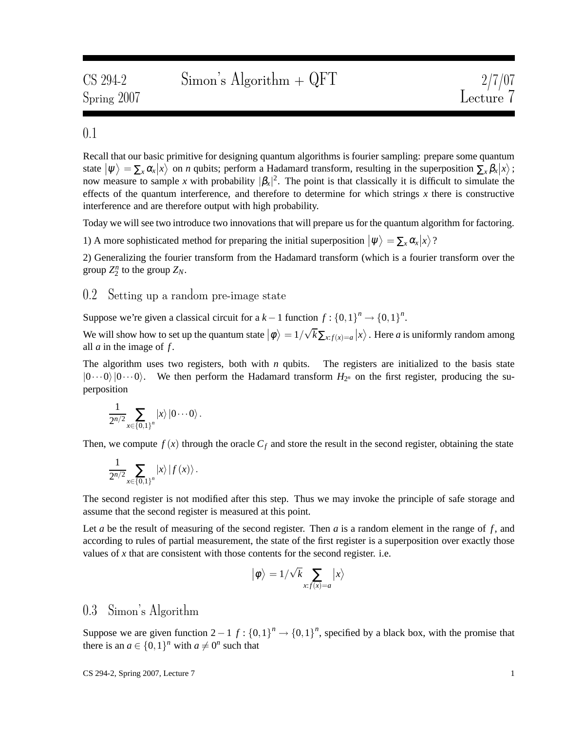### 0.1

Recall that our basic primitive for designing quantum algorithms is fourier sampling: prepare some quantum state  $|\psi\rangle = \sum_{x} \alpha_{x} |x\rangle$  on *n* qubits; perform a Hadamard transform, resulting in the superposition  $\sum_{x} \beta_{x} |x\rangle$ ; now measure to sample *x* with probability  $|\beta_x|^2$ . The point is that classically it is difficult to simulate the effects of the quantum interference, and therefore to determine for which strings *x* there is constructive interference and are therefore output with high probability.

Today we will see two introduce two innovations that will prepare us for the quantum algorithm for factoring.

1) A more sophisticated method for preparing the initial superposition  $|\psi\rangle = \sum_{x} \alpha_x |x\rangle$ ?

2) Generalizing the fourier transform from the Hadamard transform (which is a fourier transform over the group  $Z_2^n$  to the group  $Z_N$ .

#### 0.2 Setting up a random pre-image state

Suppose we're given a classical circuit for a  $k-1$  function  $f: \{0,1\}^n \to \{0,1\}^n$ .

We will show how to set up the quantum state  $|\phi\rangle = 1/\sqrt{k} \sum_{x:f(x)=a} |x\rangle$ . Here *a* is uniformly random among all *a* in the image of *f* .

The algorithm uses two registers, both with  $n$  qubits. The registers are initialized to the basis state  $|0\cdots0\rangle$   $|0\cdots0\rangle$ . We then perform the Hadamard transform  $H_{2^n}$  on the first register, producing the superposition

$$
\frac{1}{2^{n/2}}\sum_{x\in\{0,1\}^n}|x\rangle\,|0\cdots0\rangle\,.
$$

Then, we compute  $f(x)$  through the oracle  $C_f$  and store the result in the second register, obtaining the state

$$
\frac{1}{2^{n/2}}\sum_{x\in\{0,1\}^n}|x\rangle\,|f(x)\rangle\,.
$$

The second register is not modified after this step. Thus we may invoke the principle of safe storage and assume that the second register is measured at this point.

Let  $a$  be the result of measuring of the second register. Then  $a$  is a random element in the range of  $f$ , and according to rules of partial measurement, the state of the first register is a superposition over exactly those values of  $x$  that are consistent with those contents for the second register. i.e.

$$
\left|\phi\right\rangle=1/\sqrt{k}\sum_{x:f(x)=a}\left|x\right\rangle
$$

#### 0.3 Simon's Algorithm

Suppose we are given function  $2 - 1$  *f* :  $\{0,1\}^n \rightarrow \{0,1\}^n$ , specified by a black box, with the promise that there is an  $a \in \{0, 1\}^n$  with  $a \neq 0^n$  such that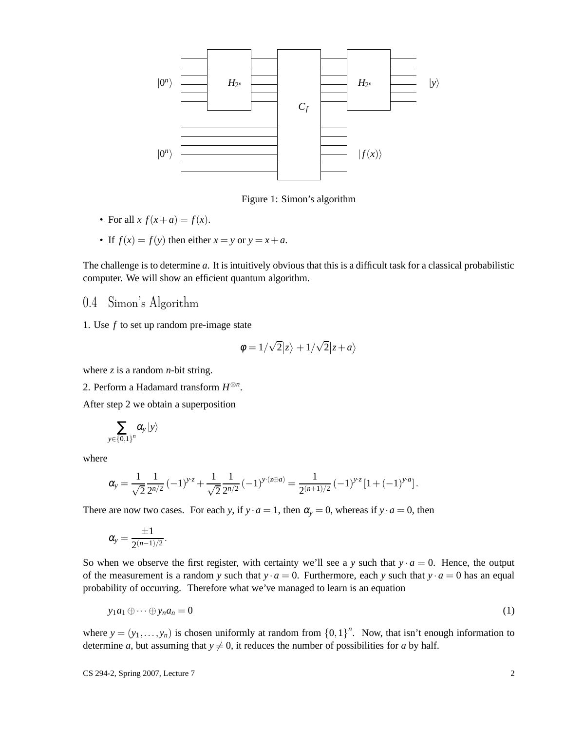

Figure 1: Simon's algorithm

- For all  $x f(x+a) = f(x)$ .
- If  $f(x) = f(y)$  then either  $x = y$  or  $y = x + a$ .

The challenge is to determine *a*. It is intuitively obvious that this is a difficult task for a classical probabilistic computer. We will show an efficient quantum algorithm.

### 0.4 Simon's Algorithm

1. Use *f* to set up random pre-image state

$$
\phi = 1/\sqrt{2}|z\rangle + 1/\sqrt{2}|z+a\rangle
$$

where  $z$  is a random *n*-bit string.

2. Perform a Hadamard transform *H* ⊗*n* .

After step 2 we obtain a superposition

$$
\sum_{y\in\left\{ 0,1\right\} ^{n}}\alpha_{y}\left\vert y\right\rangle
$$

where

$$
\alpha_{y} = \frac{1}{\sqrt{2}} \frac{1}{2^{n/2}} (-1)^{y \cdot z} + \frac{1}{\sqrt{2}} \frac{1}{2^{n/2}} (-1)^{y \cdot (z \oplus a)} = \frac{1}{2^{(n+1)/2}} (-1)^{y \cdot z} [1 + (-1)^{y \cdot a}].
$$

There are now two cases. For each *y*, if  $y \cdot a = 1$ , then  $\alpha_y = 0$ , whereas if  $y \cdot a = 0$ , then

$$
\alpha_{y}=\frac{\pm 1}{2^{(n-1)/2}}
$$

<span id="page-1-0"></span>.

So when we observe the first register, with certainty we'll see a *y* such that  $y \cdot a = 0$ . Hence, the output of the measurement is a random *y* such that  $y \cdot a = 0$ . Furthermore, each *y* such that  $y \cdot a = 0$  has an equal probability of occurring. Therefore what we've managed to learn is an equation

$$
y_1 a_1 \oplus \cdots \oplus y_n a_n = 0 \tag{1}
$$

where  $y = (y_1, \ldots, y_n)$  is chosen uniformly at random from  $\{0,1\}^n$ . Now, that isn't enough information to determine *a*, but assuming that  $y \neq 0$ , it reduces the number of possibilities for *a* by half.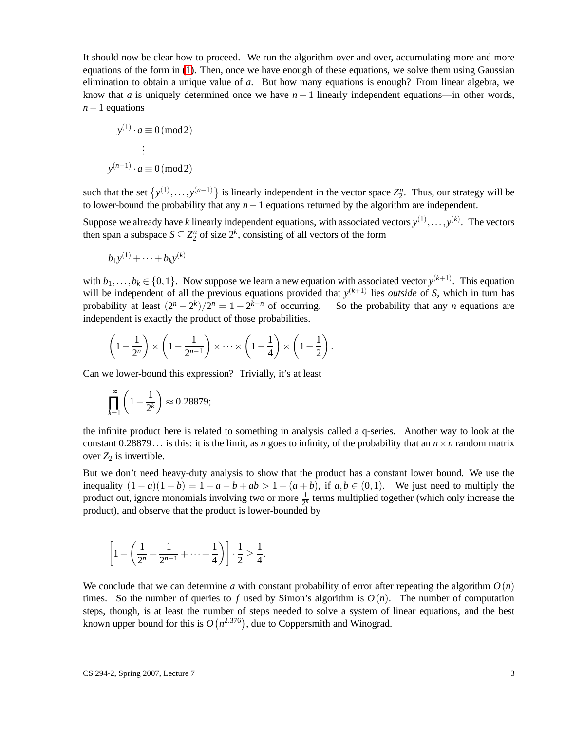It should now be clear how to proceed. We run the algorithm over and over, accumulating more and more equations of the form in [\(1\)](#page-1-0). Then, once we have enough of these equations, we solve them using Gaussian elimination to obtain a unique value of *a*. But how many equations is enough? From linear algebra, we know that *a* is uniquely determined once we have  $n - 1$  linearly independent equations—in other words, *n*−1 equations

$$
y^{(1)} \cdot a \equiv 0 \pmod{2}
$$

$$
\vdots
$$

$$
y^{(n-1)} \cdot a \equiv 0 \pmod{2}
$$

such that the set  $\{y^{(1)}, \ldots, y^{(n-1)}\}$  is linearly independent in the vector space  $Z_2^n$ . Thus, our strategy will be to lower-bound the probability that any *n*−1 equations returned by the algorithm are independent.

Suppose we already have *k* linearly independent equations, with associated vectors  $y^{(1)}, \ldots, y^{(k)}$ . The vectors then span a subspace  $S \subseteq Z_2^n$  of size  $2^k$ , consisting of all vectors of the form

$$
b_1y^{(1)} + \cdots + b_ky^{(k)}
$$

with  $b_1, \ldots, b_k \in \{0, 1\}$ . Now suppose we learn a new equation with associated vector  $y^{(k+1)}$ . This equation will be independent of all the previous equations provided that  $y^{(k+1)}$  lies *outside* of *S*, which in turn has probability at least  $(2^{n} - 2^{k})/2^{n} = 1 - 2$ So the probability that any *n* equations are independent is exactly the product of those probabilities.

$$
\left(1-\frac{1}{2^n}\right) \times \left(1-\frac{1}{2^{n-1}}\right) \times \cdots \times \left(1-\frac{1}{4}\right) \times \left(1-\frac{1}{2}\right).
$$

Can we lower-bound this expression? Trivially, it's at least

$$
\prod_{k=1}^{\infty} \left(1 - \frac{1}{2^k}\right) \approx 0.28879;
$$

the infinite product here is related to something in analysis called a q-series. Another way to look at the constant  $0.28879...$  is this: it is the limit, as *n* goes to infinity, of the probability that an  $n \times n$  random matrix over  $Z_2$  is invertible.

But we don't need heavy-duty analysis to show that the product has a constant lower bound. We use the inequality  $(1 - a)(1 - b) = 1 - a - b + ab > 1 - (a + b)$ , if  $a, b \in (0, 1)$ . We just need to multiply the product out, ignore monomials involving two or more  $\frac{1}{2^k}$  terms multiplied together (which only increase the product), and observe that the product is lower-bounded by

$$
\[1 - \left(\frac{1}{2^n} + \frac{1}{2^{n-1}} + \dots + \frac{1}{4}\right)\] \cdot \frac{1}{2} \ge \frac{1}{4}.
$$

We conclude that we can determine *a* with constant probability of error after repeating the algorithm  $O(n)$ times. So the number of queries to f used by Simon's algorithm is  $O(n)$ . The number of computation steps, though, is at least the number of steps needed to solve a system of linear equations, and the best known upper bound for this is  $O(n^{2.376})$ , due to Coppersmith and Winograd.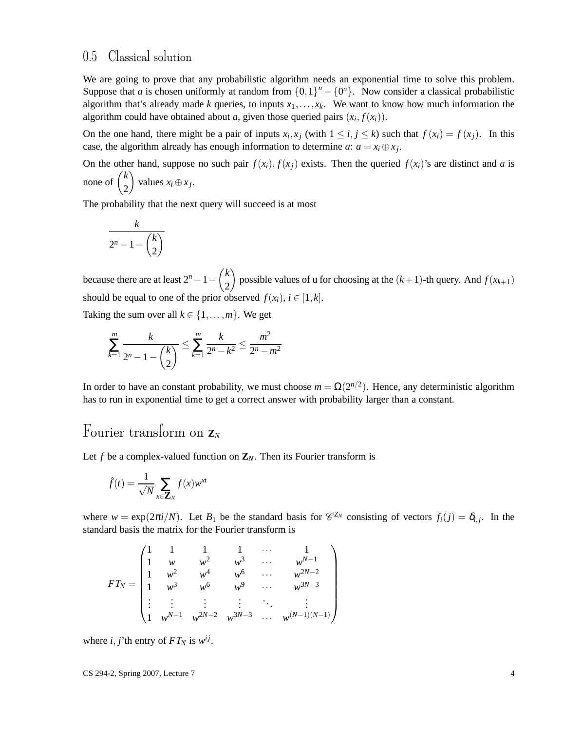#### 0.5 Classical solution

We are going to prove that any probabilistic algorithm needs an exponential time to solve this problem. Suppose that *a* is chosen uniformly at random from  $\{0,1\}^n - \{0^n\}$ . Now consider a classical probabilistic algorithm that's already made *k* queries, to inputs  $x_1, \ldots, x_k$ . We want to know how much information the algorithm could have obtained about *a*, given those queried pairs  $(x_i, f(x_i))$ .

On the one hand, there might be a pair of inputs  $x_i, x_j$  (with  $1 \le i, j \le k$ ) such that  $f(x_i) = f(x_j)$ . In this case, the algorithm already has enough information to determine *a*:  $a = x_i \oplus x_j$ .

On the other hand, suppose no such pair  $f(x_i)$ ,  $f(x_j)$  exists. Then the queried  $f(x_i)$ 's are distinct and *a* is none of  $\binom{k}{2}$ 2  $\bigg\}$  values  $x_i \oplus x_j$ .

The probability that the next query will succeed is at most

$$
\frac{k}{2^n - 1 - \binom{k}{2}}
$$

because there are at least  $2^n - 1 - \binom{k}{2}$ 2 possible values of u for choosing at the  $(k+1)$ -th query. And  $f(x_{k+1})$ should be equal to one of the prior observed  $f(x_i)$ ,  $i \in [1, k]$ .

Taking the sum over all  $k \in \{1, \ldots, m\}$ . We get

$$
\sum_{k=1}^{m} \frac{k}{2^{n} - 1 - {k \choose 2}} \le \sum_{k=1}^{m} \frac{k}{2^{n} - k^{2}} \le \frac{m^{2}}{2^{n} - m^{2}}
$$

In order to have an constant probability, we must choose  $m = \Omega(2^{n/2})$ . Hence, any deterministic algorithm has to run in exponential time to get a correct answer with probability larger than a constant.

## Fourier transform on **Z***<sup>N</sup>*

Let  $f$  be a complex-valued function on  $\mathbf{Z}_N$ . Then its Fourier transform is

$$
\hat{f}(t) = \frac{1}{\sqrt{N}} \sum_{x \in \mathbf{Z}_N} f(x) w^{xt}
$$

where  $w = \exp(2\pi i/N)$ . Let  $B_1$  be the standard basis for  $\mathcal{C}^{Z_N}$  consisting of vectors  $f_i(j) = \delta_{i,j}$ . In the standard basis the matrix for the Fourier transform is

$$
FT_N = \begin{pmatrix} 1 & 1 & 1 & 1 & \cdots & 1 \\ 1 & w & w^2 & w^3 & \cdots & w^{N-1} \\ 1 & w^2 & w^4 & w^6 & \cdots & w^{2N-2} \\ 1 & w^3 & w^6 & w^9 & \cdots & w^{3N-3} \\ \vdots & \vdots & \vdots & \vdots & \ddots & \vdots \\ 1 & w^{N-1} & w^{2N-2} & w^{3N-3} & \cdots & w^{(N-1)(N-1)} \end{pmatrix}
$$

where *i*, *j*'th entry of  $FT_N$  is  $w^{ij}$ .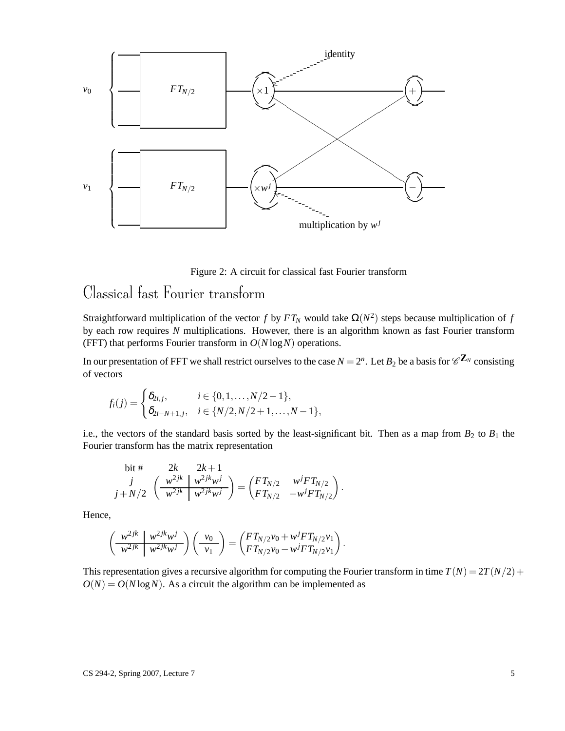

Figure 2: A circuit for classical fast Fourier transform

# Classical fast Fourier transform

Straightforward multiplication of the vector *f* by  $FT_N$  would take  $\Omega(N^2)$  steps because multiplication of *f* by each row requires *N* multiplications. However, there is an algorithm known as fast Fourier transform (FFT) that performs Fourier transform in *O*(*N* log*N*) operations.

In our presentation of FFT we shall restrict ourselves to the case  $N = 2^n$ . Let  $B_2$  be a basis for  $\mathscr{C}^{\mathbf{Z}_N}$  consisting of vectors

$$
f_i(j) = \begin{cases} \delta_{2i,j}, & i \in \{0,1,\ldots,N/2-1\}, \\ \delta_{2i-N+1,j}, & i \in \{N/2,N/2+1,\ldots,N-1\}, \end{cases}
$$

i.e., the vectors of the standard basis sorted by the least-significant bit. Then as a map from  $B_2$  to  $B_1$  the Fourier transform has the matrix representation

bit # 
$$
2k
$$
  $2k+1$   
\n
$$
\begin{array}{cc}\nj & \left(\frac{w^{2jk}}{w^{2jk}}\right)\frac{w^{2jk}w^{j}}{w^{2jk}w^{j}}\end{array} = \begin{pmatrix}FT_{N/2} & w^{j}FT_{N/2} \\ FT_{N/2} & -w^{j}FT_{N/2} \end{pmatrix}.
$$

Hence,

$$
\left(\begin{array}{c|c} w^{2jk} & w^{2jk}w^{j} \\ \hline w^{2jk} & w^{2jk}w^{j} \end{array}\right)\left(\begin{array}{c} v_0 \\ v_1 \end{array}\right)=\left(\begin{array}{c} FT_{N/2}v_0 + w^{j}FT_{N/2}v_1 \\ FT_{N/2}v_0 - w^{j}FT_{N/2}v_1 \end{array}\right).
$$

This representation gives a recursive algorithm for computing the Fourier transform in time  $T(N) = 2T(N/2) + 1$  $O(N) = O(N \log N)$ . As a circuit the algorithm can be implemented as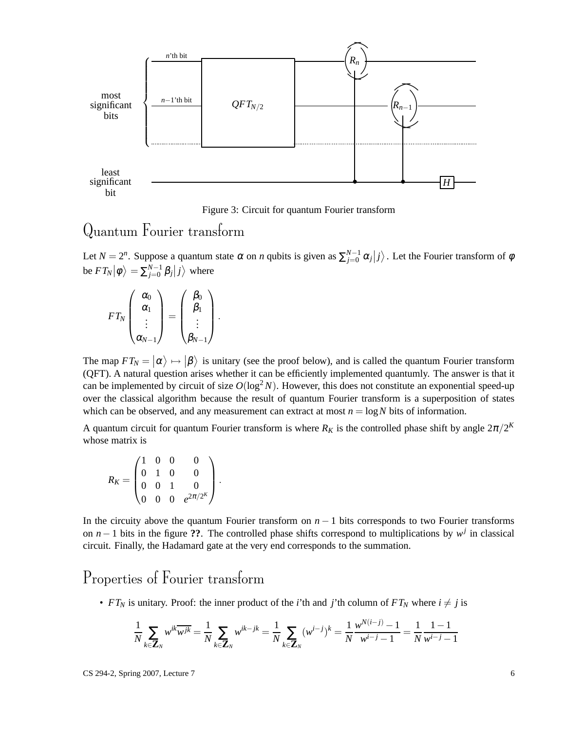

Figure 3: Circuit for quantum Fourier transform

## Quantum Fourier transform

Let  $N = 2^n$ . Suppose a quantum state  $\alpha$  on *n* qubits is given as  $\sum_{j=0}^{N-1} \alpha_j |j\rangle$ . Let the Fourier transform of  $\phi$ be  $FT_N |\phi\rangle = \sum_{j=0}^{N-1} \beta_j |j\rangle$  where

$$
FT_N\begin{pmatrix}\alpha_0\\ \alpha_1\\ \vdots\\ \alpha_{N-1}\end{pmatrix}=\begin{pmatrix}\beta_0\\ \beta_1\\ \vdots\\ \beta_{N-1}\end{pmatrix}.
$$

The map  $FT_N = |\alpha\rangle \mapsto |\beta\rangle$  is unitary (see the proof below), and is called the quantum Fourier transform (QFT). A natural question arises whether it can be efficiently implemented quantumly. The answer is that it can be implemented by circuit of size  $O(\log^2 N)$ . However, this does not constitute an exponential speed-up over the classical algorithm because the result of quantum Fourier transform is a superposition of states which can be observed, and any measurement can extract at most  $n = \log N$  bits of information.

A quantum circuit for quantum Fourier transform is where  $R_K$  is the controlled phase shift by angle  $2\pi/2^K$ whose matrix is

$$
R_K = \begin{pmatrix} 1 & 0 & 0 & 0 \\ 0 & 1 & 0 & 0 \\ 0 & 0 & 1 & 0 \\ 0 & 0 & 0 & e^{2\pi/2^K} \end{pmatrix}.
$$

In the circuity above the quantum Fourier transform on  $n - 1$  bits corresponds to two Fourier transforms on  $n-1$  bits in the figure ??. The controlled phase shifts correspond to multiplications by  $w<sup>j</sup>$  in classical circuit. Finally, the Hadamard gate at the very end corresponds to the summation.

# Properties of Fourier transform

• *FT<sub>N</sub>* is unitary. Proof: the inner product of the *i*'th and *j*'th column of *FT<sub>N</sub>* where  $i \neq j$  is

$$
\frac{1}{N} \sum_{k \in \mathbf{Z}_N} w^{ik} \overline{w^{jk}} = \frac{1}{N} \sum_{k \in \mathbf{Z}_N} w^{ik - jk} = \frac{1}{N} \sum_{k \in \mathbf{Z}_N} (w^{i - j})^k = \frac{1}{N} \frac{w^{N(i - j)} - 1}{w^{i - j} - 1} = \frac{1}{N} \frac{1 - 1}{w^{i - j} - 1}
$$